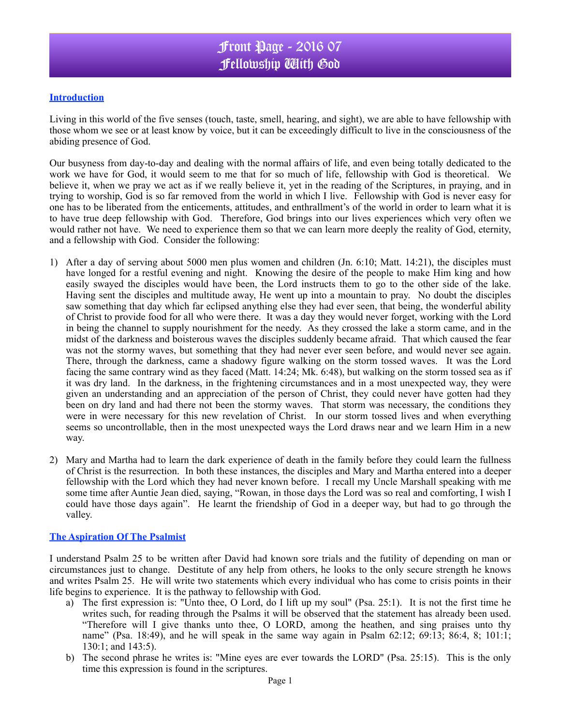## **Introduction**

Living in this world of the five senses (touch, taste, smell, hearing, and sight), we are able to have fellowship with those whom we see or at least know by voice, but it can be exceedingly difficult to live in the consciousness of the abiding presence of God.

Our busyness from day-to-day and dealing with the normal affairs of life, and even being totally dedicated to the work we have for God, it would seem to me that for so much of life, fellowship with God is theoretical. We believe it, when we pray we act as if we really believe it, yet in the reading of the Scriptures, in praying, and in trying to worship, God is so far removed from the world in which I live. Fellowship with God is never easy for one has to be liberated from the enticements, attitudes, and enthrallment's of the world in order to learn what it is to have true deep fellowship with God. Therefore, God brings into our lives experiences which very often we would rather not have. We need to experience them so that we can learn more deeply the reality of God, eternity, and a fellowship with God. Consider the following:

- 1) After a day of serving about 5000 men plus women and children (Jn. 6:10; Matt. 14:21), the disciples must have longed for a restful evening and night. Knowing the desire of the people to make Him king and how easily swayed the disciples would have been, the Lord instructs them to go to the other side of the lake. Having sent the disciples and multitude away, He went up into a mountain to pray. No doubt the disciples saw something that day which far eclipsed anything else they had ever seen, that being, the wonderful ability of Christ to provide food for all who were there. It was a day they would never forget, working with the Lord in being the channel to supply nourishment for the needy. As they crossed the lake a storm came, and in the midst of the darkness and boisterous waves the disciples suddenly became afraid. That which caused the fear was not the stormy waves, but something that they had never ever seen before, and would never see again. There, through the darkness, came a shadowy figure walking on the storm tossed waves. It was the Lord facing the same contrary wind as they faced (Matt. 14:24; Mk. 6:48), but walking on the storm tossed sea as if it was dry land. In the darkness, in the frightening circumstances and in a most unexpected way, they were given an understanding and an appreciation of the person of Christ, they could never have gotten had they been on dry land and had there not been the stormy waves. That storm was necessary, the conditions they were in were necessary for this new revelation of Christ. In our storm tossed lives and when everything seems so uncontrollable, then in the most unexpected ways the Lord draws near and we learn Him in a new way.
- 2) Mary and Martha had to learn the dark experience of death in the family before they could learn the fullness of Christ is the resurrection. In both these instances, the disciples and Mary and Martha entered into a deeper fellowship with the Lord which they had never known before. I recall my Uncle Marshall speaking with me some time after Auntie Jean died, saying, "Rowan, in those days the Lord was so real and comforting, I wish I could have those days again". He learnt the friendship of God in a deeper way, but had to go through the valley.

## **The Aspiration Of The Psalmist**

I understand Psalm 25 to be written after David had known sore trials and the futility of depending on man or circumstances just to change. Destitute of any help from others, he looks to the only secure strength he knows and writes Psalm 25. He will write two statements which every individual who has come to crisis points in their life begins to experience. It is the pathway to fellowship with God.

- a) The first expression is: "Unto thee, O Lord, do I lift up my soul" (Psa. 25:1). It is not the first time he writes such, for reading through the Psalms it will be observed that the statement has already been used. "Therefore will I give thanks unto thee, O LORD, among the heathen, and sing praises unto thy name" (Psa. 18:49), and he will speak in the same way again in Psalm 62:12; 69:13; 86:4, 8; 101:1; 130:1; and 143:5).
- b) The second phrase he writes is: "Mine eyes are ever towards the LORD" (Psa. 25:15). This is the only time this expression is found in the scriptures.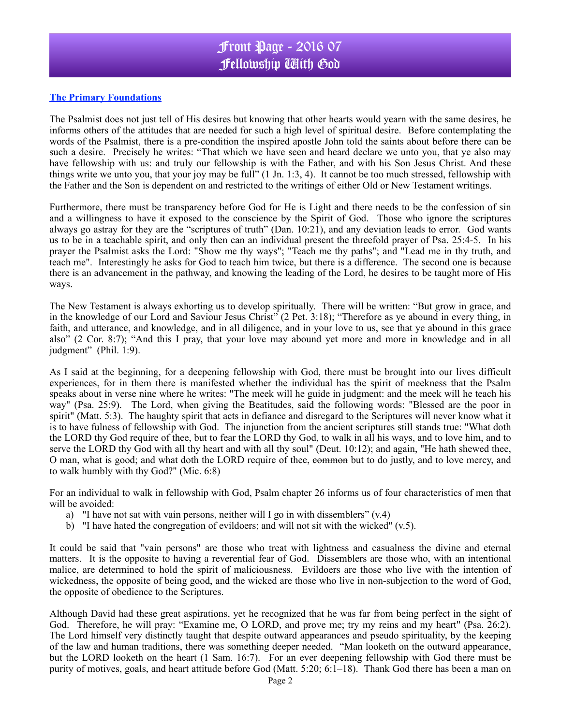## **The Primary Foundations**

The Psalmist does not just tell of His desires but knowing that other hearts would yearn with the same desires, he informs others of the attitudes that are needed for such a high level of spiritual desire. Before contemplating the words of the Psalmist, there is a pre-condition the inspired apostle John told the saints about before there can be such a desire. Precisely he writes: "That which we have seen and heard declare we unto you, that ye also may have fellowship with us: and truly our fellowship is with the Father, and with his Son Jesus Christ. And these things write we unto you, that your joy may be full" (1 Jn. 1:3, 4). It cannot be too much stressed, fellowship with the Father and the Son is dependent on and restricted to the writings of either Old or New Testament writings.

Furthermore, there must be transparency before God for He is Light and there needs to be the confession of sin and a willingness to have it exposed to the conscience by the Spirit of God. Those who ignore the scriptures always go astray for they are the "scriptures of truth" (Dan. 10:21), and any deviation leads to error. God wants us to be in a teachable spirit, and only then can an individual present the threefold prayer of Psa. 25:4-5. In his prayer the Psalmist asks the Lord: "Show me thy ways"; "Teach me thy paths"; and "Lead me in thy truth, and teach me". Interestingly he asks for God to teach him twice, but there is a difference. The second one is because there is an advancement in the pathway, and knowing the leading of the Lord, he desires to be taught more of His ways.

The New Testament is always exhorting us to develop spiritually. There will be written: "But grow in grace, and in the knowledge of our Lord and Saviour Jesus Christ" (2 Pet. 3:18); "Therefore as ye abound in every thing, in faith, and utterance, and knowledge, and in all diligence, and in your love to us, see that ye abound in this grace also" (2 Cor. 8:7); "And this I pray, that your love may abound yet more and more in knowledge and in all judgment" (Phil. 1:9).

As I said at the beginning, for a deepening fellowship with God, there must be brought into our lives difficult experiences, for in them there is manifested whether the individual has the spirit of meekness that the Psalm speaks about in verse nine where he writes: "The meek will he guide in judgment: and the meek will he teach his way" (Psa. 25:9). The Lord, when giving the Beatitudes, said the following words: "Blessed are the poor in spirit" (Matt. 5:3). The haughty spirit that acts in defiance and disregard to the Scriptures will never know what it is to have fulness of fellowship with God. The injunction from the ancient scriptures still stands true: "What doth the LORD thy God require of thee, but to fear the LORD thy God, to walk in all his ways, and to love him, and to serve the LORD thy God with all thy heart and with all thy soul" (Deut. 10:12); and again, "He hath shewed thee, O man, what is good; and what doth the LORD require of thee, common but to do justly, and to love mercy, and to walk humbly with thy God?" (Mic. 6:8)

For an individual to walk in fellowship with God, Psalm chapter 26 informs us of four characteristics of men that will be avoided:

- a) "I have not sat with vain persons, neither will I go in with dissemblers"  $(v.4)$
- b) "I have hated the congregation of evildoers; and will not sit with the wicked"  $(v.5)$ .

It could be said that "vain persons" are those who treat with lightness and casualness the divine and eternal matters. It is the opposite to having a reverential fear of God. Dissemblers are those who, with an intentional malice, are determined to hold the spirit of maliciousness. Evildoers are those who live with the intention of wickedness, the opposite of being good, and the wicked are those who live in non-subjection to the word of God, the opposite of obedience to the Scriptures.

Although David had these great aspirations, yet he recognized that he was far from being perfect in the sight of God. Therefore, he will pray: "Examine me, O LORD, and prove me; try my reins and my heart" (Psa. 26:2). The Lord himself very distinctly taught that despite outward appearances and pseudo spirituality, by the keeping of the law and human traditions, there was something deeper needed. "Man looketh on the outward appearance, but the LORD looketh on the heart (1 Sam. 16:7). For an ever deepening fellowship with God there must be purity of motives, goals, and heart attitude before God (Matt. 5:20; 6:1–18). Thank God there has been a man on